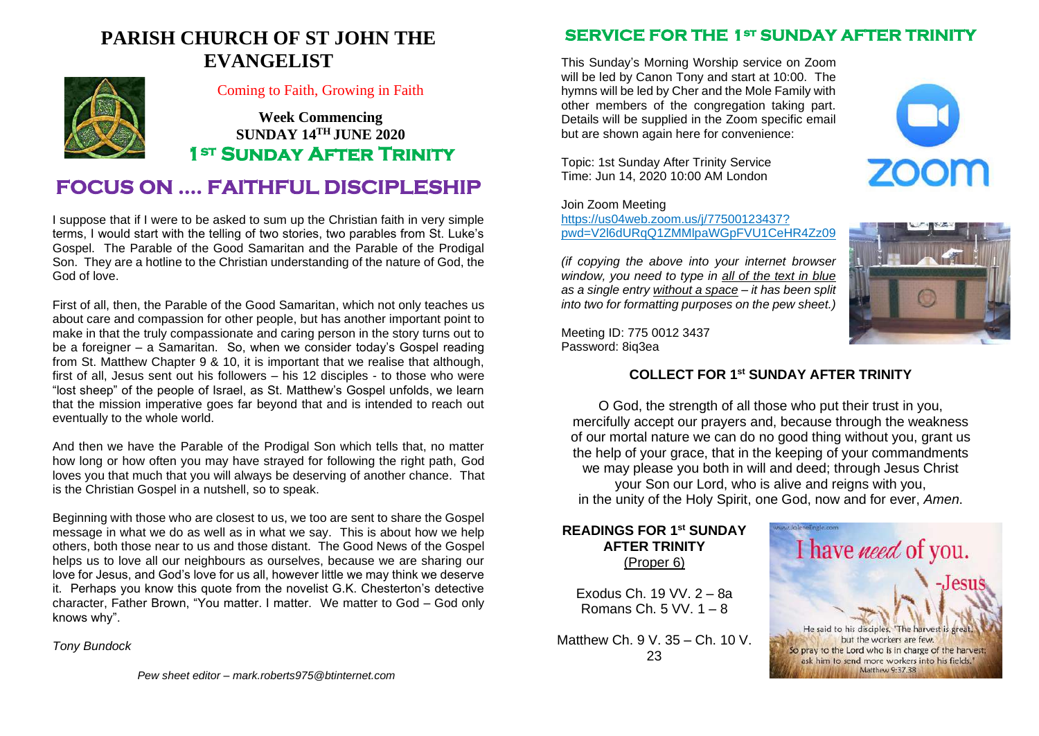### **PARISH CHURCH OF ST JOHN THE EVANGELIST**



#### Coming to Faith, Growing in Faith

**Week Commencing SUNDAY 14TH JUNE 2020 1st Sunday After Trinity** 

### **FOCUS ON …. FAITHFUL DISCIPLESHIP**

I suppose that if I were to be asked to sum up the Christian faith in very simple terms, I would start with the telling of two stories, two parables from St. Luke's Gospel. The Parable of the Good Samaritan and the Parable of the Prodigal Son. They are a hotline to the Christian understanding of the nature of God, the God of love.

First of all, then, the Parable of the Good Samaritan, which not only teaches us about care and compassion for other people, but has another important point to make in that the truly compassionate and caring person in the story turns out to be a foreigner – a Samaritan. So, when we consider today's Gospel reading from St. Matthew Chapter 9 & 10, it is important that we realise that although, first of all, Jesus sent out his followers – his 12 disciples - to those who were "lost sheep" of the people of Israel, as St. Matthew's Gospel unfolds, we learn that the mission imperative goes far beyond that and is intended to reach out eventually to the whole world.

And then we have the Parable of the Prodigal Son which tells that, no matter how long or how often you may have strayed for following the right path, God loves you that much that you will always be deserving of another chance. That is the Christian Gospel in a nutshell, so to speak.

Beginning with those who are closest to us, we too are sent to share the Gospel message in what we do as well as in what we say. This is about how we help others, both those near to us and those distant. The Good News of the Gospel helps us to love all our neighbours as ourselves, because we are sharing our love for Jesus, and God's love for us all, however little we may think we deserve it. Perhaps you know this quote from the novelist G.K. Chesterton's detective character, Father Brown, "You matter. I matter. We matter to God – God only knows why".

*Tony Bundock*

### **SERVICE FOR THE 1<sup>st</sup> SUNDAY AFTER TRINIT**

This Sunday's Morning Worship service on Zoom will be led by Canon Tony and start at 10:00. The hymns will be led by Cher and the Mole Family with other members of the congregation taking part. Details will be supplied in the Zoom specific email but are shown again here for convenience:

Topic: 1st Sunday After Trinity Service Time: Jun 14, 2020 10:00 AM London

Join Zoom Meeting

[https://us04web.zoom.us/j/77500123437?](https://us04web.zoom.us/j/77500123437) pwd=V2l6dURqQ1ZMMlpaWGpFVU1CeHR4Zz09

*(if copying the above into your internet browser window, you need to type in all of the text in blue as a single entry without a space – it has been split into two for formatting purposes on the pew sheet.)*



Meeting ID: 775 0012 3437 Password: 8iq3ea

#### **COLLECT FOR 1 st SUNDAY AFTER TRINITY**

O God, the strength of all those who put their trust in you, mercifully accept our prayers and, because through the weakness of our mortal nature we can do no good thing without you, grant us the help of your grace, that in the keeping of your commandments we may please you both in will and deed; through Jesus Christ your Son our Lord, who is alive and reigns with you, in the unity of the Holy Spirit, one God, now and for ever, *Amen*.

#### **READINGS FOR 1 st SUNDAY AFTER TRINITY** (Proper 6)

Exodus Ch. 19 VV. 2 – 8a Romans Ch. 5 VV. 1 – 8

Matthew Ch. 9 V. 35 – Ch. 10 V. 23